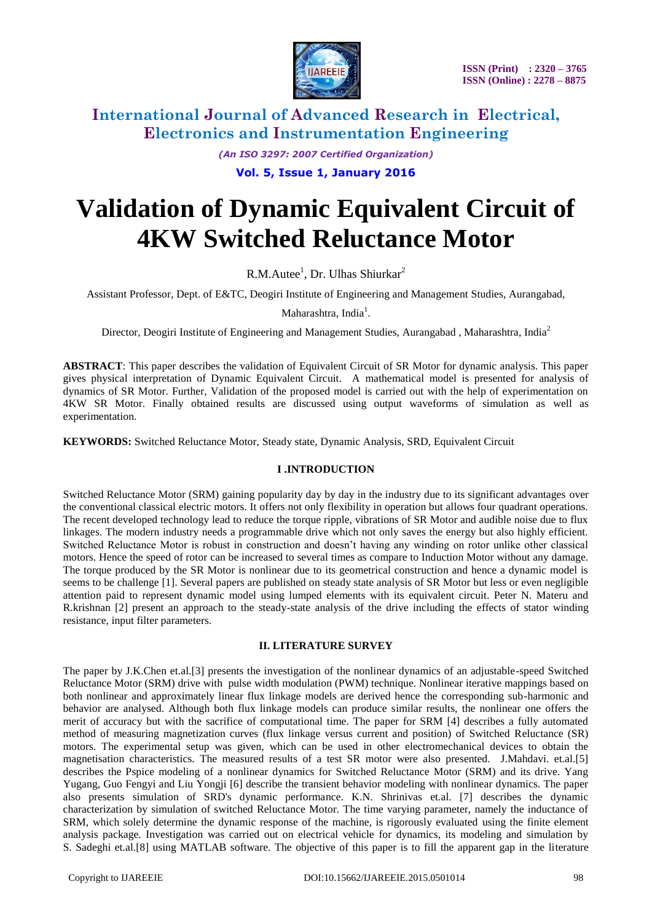

*(An ISO 3297: 2007 Certified Organization)* **Vol. 5, Issue 1, January 2016**

# **Validation of Dynamic Equivalent Circuit of 4KW Switched Reluctance Motor**

R.M.Autee<sup>1</sup>, Dr. Ulhas Shiurkar<sup>2</sup>

Assistant Professor*,* Dept. of E&TC, Deogiri Institute of Engineering and Management Studies, Aurangabad,

Maharashtra, India<sup>1</sup>.

Director, Deogiri Institute of Engineering and Management Studies, Aurangabad, Maharashtra, India<sup>2</sup>

**ABSTRACT**: This paper describes the validation of Equivalent Circuit of SR Motor for dynamic analysis. This paper gives physical interpretation of Dynamic Equivalent Circuit. A mathematical model is presented for analysis of dynamics of SR Motor. Further, Validation of the proposed model is carried out with the help of experimentation on 4KW SR Motor. Finally obtained results are discussed using output waveforms of simulation as well as experimentation.

**KEYWORDS:** Switched Reluctance Motor, Steady state, Dynamic Analysis, SRD, Equivalent Circuit

### **I .INTRODUCTION**

Switched Reluctance Motor (SRM) gaining popularity day by day in the industry due to its significant advantages over the conventional classical electric motors. It offers not only flexibility in operation but allows four quadrant operations. The recent developed technology lead to reduce the torque ripple, vibrations of SR Motor and audible noise due to flux linkages. The modern industry needs a programmable drive which not only saves the energy but also highly efficient. Switched Reluctance Motor is robust in construction and doesn"t having any winding on rotor unlike other classical motors. Hence the speed of rotor can be increased to several times as compare to Induction Motor without any damage. The torque produced by the SR Motor is nonlinear due to its geometrical construction and hence a dynamic model is seems to be challenge [1]. Several papers are published on steady state analysis of SR Motor but less or even negligible attention paid to represent dynamic model using lumped elements with its equivalent circuit. Peter N. Materu and R.krishnan [2] present an approach to the steady-state analysis of the drive including the effects of stator winding resistance, input filter parameters.

### **II. LITERATURE SURVEY**

The paper by J.K.Chen et.al.[3] presents the investigation of the nonlinear dynamics of an adjustable-speed Switched Reluctance Motor (SRM) drive with pulse width modulation (PWM) technique. Nonlinear iterative mappings based on both nonlinear and approximately linear flux linkage models are derived hence the corresponding sub-harmonic and behavior are analysed. Although both flux linkage models can produce similar results, the nonlinear one offers the merit of accuracy but with the sacrifice of computational time. The paper for SRM [4] describes a fully automated method of measuring magnetization curves (flux linkage versus current and position) of Switched Reluctance (SR) motors. The experimental setup was given, which can be used in other electromechanical devices to obtain the magnetisation characteristics. The measured results of a test SR motor were also presented. J.Mahdavi. et.al.[5] describes the Pspice modeling of a nonlinear dynamics for Switched Reluctance Motor (SRM) and its drive. Yang Yugang, Guo Fengyi and Liu Yongji [6] describe the transient behavior modeling with nonlinear dynamics. The paper also presents simulation of SRD's dynamic performance. K.N. Shrinivas et.al. [7] describes the dynamic characterization by simulation of switched Reluctance Motor. The time varying parameter, namely the inductance of SRM, which solely determine the dynamic response of the machine, is rigorously evaluated using the finite element analysis package. Investigation was carried out on electrical vehicle for dynamics, its modeling and simulation by S. Sadeghi et.al.[8] using MATLAB software. The objective of this paper is to fill the apparent gap in the literature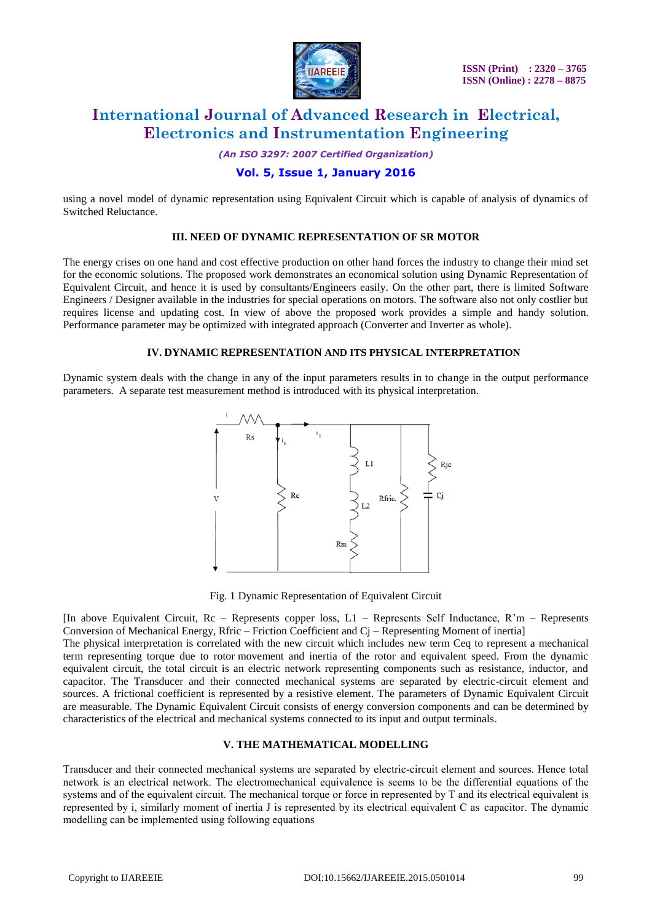

*(An ISO 3297: 2007 Certified Organization)*

## **Vol. 5, Issue 1, January 2016**

using a novel model of dynamic representation using Equivalent Circuit which is capable of analysis of dynamics of Switched Reluctance.

#### **III. NEED OF DYNAMIC REPRESENTATION OF SR MOTOR**

The energy crises on one hand and cost effective production on other hand forces the industry to change their mind set for the economic solutions. The proposed work demonstrates an economical solution using Dynamic Representation of Equivalent Circuit, and hence it is used by consultants/Engineers easily. On the other part, there is limited Software Engineers / Designer available in the industries for special operations on motors. The software also not only costlier but requires license and updating cost. In view of above the proposed work provides a simple and handy solution. Performance parameter may be optimized with integrated approach (Converter and Inverter as whole).

#### **IV. DYNAMIC REPRESENTATION AND ITS PHYSICAL INTERPRETATION**

Dynamic system deals with the change in any of the input parameters results in to change in the output performance parameters. A separate test measurement method is introduced with its physical interpretation.



Fig. 1 Dynamic Representation of Equivalent Circuit

[In above Equivalent Circuit, Rc – Represents copper loss, L1 – Represents Self Inductance, R"m – Represents Conversion of Mechanical Energy, Rfric – Friction Coefficient and Cj – Representing Moment of inertia]

The physical interpretation is correlated with the new circuit which includes new term Ceq to represent a mechanical term representing torque due to rotor movement and inertia of the rotor and equivalent speed. From the dynamic equivalent circuit, the total circuit is an electric network representing components such as resistance, inductor, and capacitor. The Transducer and their connected mechanical systems are separated by electric-circuit element and sources. A frictional coefficient is represented by a resistive element. The parameters of Dynamic Equivalent Circuit are measurable. The Dynamic Equivalent Circuit consists of energy conversion components and can be determined by characteristics of the electrical and mechanical systems connected to its input and output terminals.

#### **V. THE MATHEMATICAL MODELLING**

Transducer and their connected mechanical systems are separated by electric-circuit element and sources. Hence total network is an electrical network. The electromechanical equivalence is seems to be the differential equations of the systems and of the equivalent circuit. The mechanical torque or force in represented by T and its electrical equivalent is represented by i, similarly moment of inertia J is represented by its electrical equivalent C as capacitor. The dynamic modelling can be implemented using following equations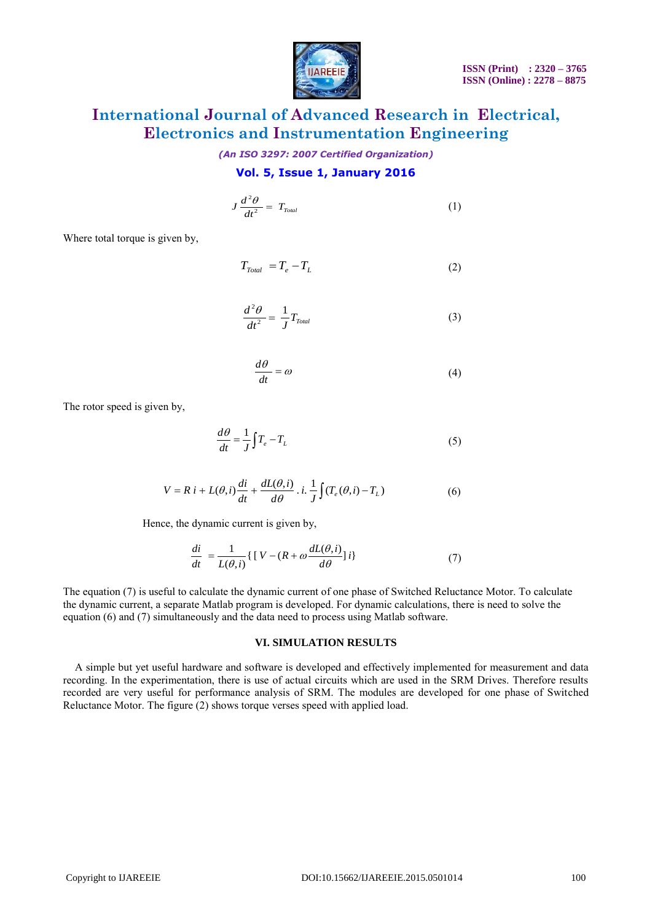

*(An ISO 3297: 2007 Certified Organization)*

### **Vol. 5, Issue 1, January 2016**

$$
J\frac{d^2\theta}{dt^2} = T_{\text{Total}} \tag{1}
$$

Where total torque is given by,

$$
T_{\text{Total}} = T_e - T_L \tag{2}
$$

$$
\frac{d^2\theta}{dt^2} = \frac{1}{J}T_{\text{Total}}\tag{3}
$$

$$
\frac{d\theta}{dt} = \omega\tag{4}
$$

The rotor speed is given by,

$$
\frac{d\theta}{dt} = \frac{1}{J} \int T_e - T_L \tag{5}
$$

$$
V = R i + L(\theta, i) \frac{di}{dt} + \frac{dL(\theta, i)}{d\theta} \cdot i \cdot \frac{1}{J} \int (T_e(\theta, i) - T_L)
$$
 (6)

Hence, the dynamic current is given by,

$$
\frac{di}{dt} = \frac{1}{L(\theta, i)} \{ [V - (R + \omega \frac{dL(\theta, i)}{d\theta}]i \}
$$
(7)

The equation (7) is useful to calculate the dynamic current of one phase of Switched Reluctance Motor. To calculate the dynamic current, a separate Matlab program is developed. For dynamic calculations, there is need to solve the equation (6) and (7) simultaneously and the data need to process using Matlab software.

#### **VI. SIMULATION RESULTS**

Vibre total torque is given by,<br>
Vibre total torque is given by,<br>  $T_{\text{max}} = T_c - T_t$  (2)<br>  $\frac{d^2y}{dt^2} - \frac{1}{J}T_{\text{av}}$  (3)<br>  $\frac{d\theta}{dt} = 0$  (4)<br>
He rature speed is given by,<br>  $\frac{d\theta}{dt} = \frac{dL(\theta)}{d\theta} - 1$ ,  $\frac{1}{J}[T, T_1]$  (5) A simple but yet useful hardware and software is developed and effectively implemented for measurement and data recording. In the experimentation, there is use of actual circuits which are used in the SRM Drives. Therefore results recorded are very useful for performance analysis of SRM. The modules are developed for one phase of Switched Reluctance Motor. The figure (2) shows torque verses speed with applied load.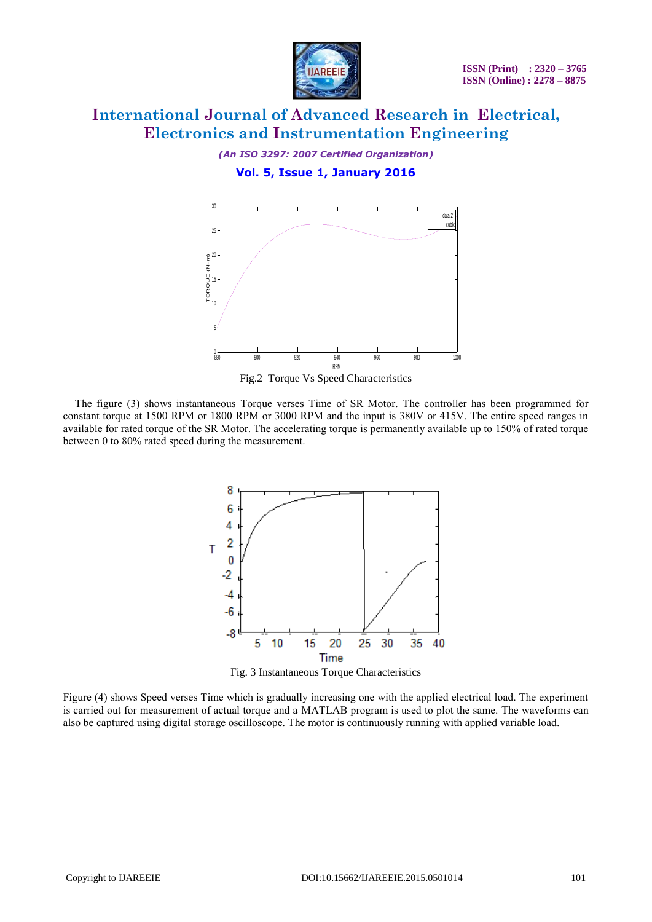

*(An ISO 3297: 2007 Certified Organization)*

**Vol. 5, Issue 1, January 2016**



Fig.2 Torque Vs Speed Characteristics

The figure (3) shows instantaneous Torque verses Time of SR Motor. The controller has been programmed for constant torque at 1500 RPM or 1800 RPM or 3000 RPM and the input is 380V or 415V. The entire speed ranges in available for rated torque of the SR Motor. The accelerating torque is permanently available up to 150% of rated torque between 0 to 80% rated speed during the measurement.



Fig. 3 Instantaneous Torque Characteristics

Figure (4) shows Speed verses Time which is gradually increasing one with the applied electrical load. The experiment is carried out for measurement of actual torque and a MATLAB program is used to plot the same. The waveforms can also be captured using digital storage oscilloscope. The motor is continuously running with applied variable load.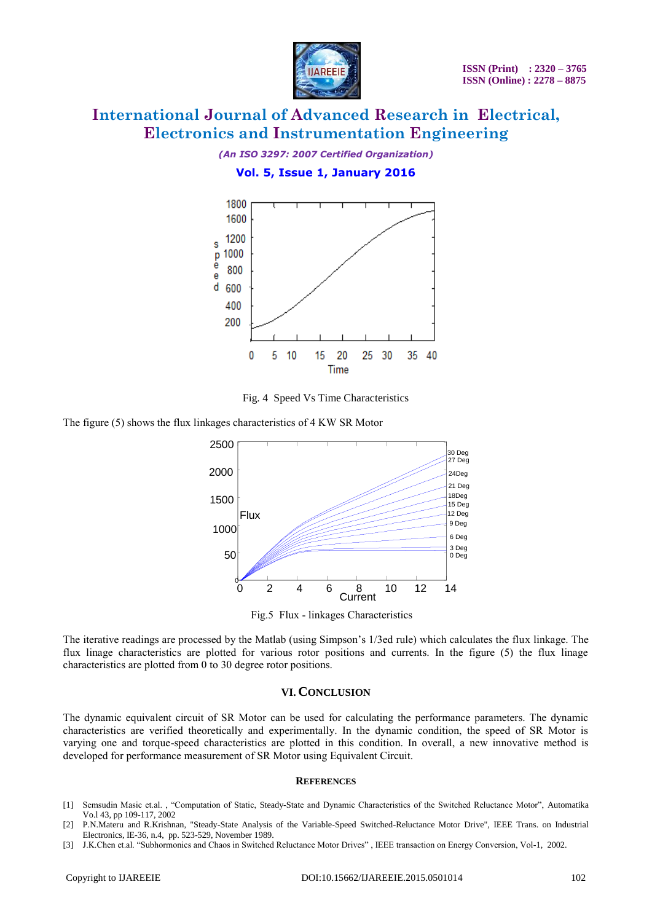

*(An ISO 3297: 2007 Certified Organization)*

### **Vol. 5, Issue 1, January 2016**



Fig. 4 Speed Vs Time Characteristics

The figure (5) shows the flux linkages characteristics of 4 KW SR Motor



Fig.5 Flux - linkages Characteristics

The iterative readings are processed by the Matlab (using Simpson's 1/3ed rule) which calculates the flux linkage. The flux linage characteristics are plotted for various rotor positions and currents. In the figure (5) the flux linage characteristics are plotted from 0 to 30 degree rotor positions.

### **VI. CONCLUSION**

The dynamic equivalent circuit of SR Motor can be used for calculating the performance parameters. The dynamic characteristics are verified theoretically and experimentally. In the dynamic condition, the speed of SR Motor is varying one and torque-speed characteristics are plotted in this condition. In overall, a new innovative method is developed for performance measurement of SR Motor using Equivalent Circuit.

#### **REFERENCES**

- [1] Semsudin Masic et.al. , "Computation of Static, Steady-State and Dynamic Characteristics of the Switched Reluctance Motor", Automatika Vo.l 43, pp 109-117, 2002
- [2] P.N.Materu and R.Krishnan, "Steady-State Analysis of the Variable-Speed Switched-Reluctance Motor Drive", IEEE Trans. on Industrial Electronics, IE-36, n.4, pp. 523-529, November 1989.
- [3] J.K.Chen et.al. "Subhormonics and Chaos in Switched Reluctance Motor Drives" , IEEE transaction on Energy Conversion, Vol-1, 2002.